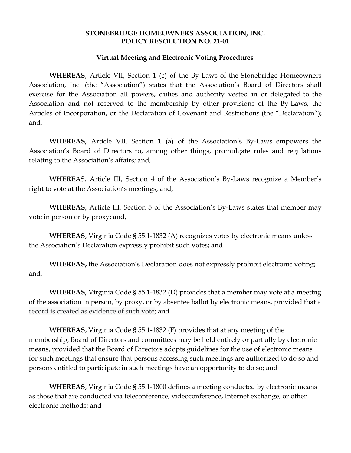### **STONEBRIDGE HOMEOWNERS ASSOCIATION, INC. POLICY RESOLUTION NO. 21-01**

#### **Virtual Meeting and Electronic Voting Procedures**

**WHEREAS**, Article VII, Section 1 (c) of the By-Laws of the Stonebridge Homeowners Association, Inc. (the "Association") states that the Association's Board of Directors shall exercise for the Association all powers, duties and authority vested in or delegated to the Association and not reserved to the membership by other provisions of the By-Laws, the Articles of Incorporation, or the Declaration of Covenant and Restrictions (the "Declaration"); and,

**WHEREAS,** Article VII, Section 1 (a) of the Association's By-Laws empowers the Association's Board of Directors to, among other things, promulgate rules and regulations relating to the Association's affairs; and,

**WHERE**AS, Article III, Section 4 of the Association's By-Laws recognize a Member's right to vote at the Association's meetings; and,

**WHEREAS,** Article III, Section 5 of the Association's By-Laws states that member may vote in person or by proxy; and,

**WHEREAS**, Virginia Code § 55.1-1832 (A) recognizes votes by electronic means unless the Association's Declaration expressly prohibit such votes; and

**WHEREAS,** the Association's Declaration does not expressly prohibit electronic voting; and,

**WHEREAS,** Virginia Code § 55.1-1832 (D) provides that a member may vote at a meeting of the association in person, by proxy, or by absentee ballot by electronic means, provided that a record is created as evidence of such vote; and

**WHEREAS**, Virginia Code § 55.1-1832 (F) provides that at any meeting of the membership, Board of Directors and committees may be held entirely or partially by electronic means, provided that the Board of Directors adopts guidelines for the use of electronic means for such meetings that ensure that persons accessing such meetings are authorized to do so and persons entitled to participate in such meetings have an opportunity to do so; and

**WHEREAS**, Virginia Code § 55.1-1800 defines a meeting conducted by electronic means as those that are conducted via teleconference, videoconference, Internet exchange, or other electronic methods; and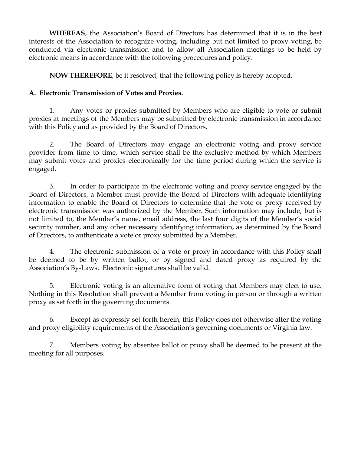**WHEREAS**, the Association's Board of Directors has determined that it is in the best interests of the Association to recognize voting, including but not limited to proxy voting, be conducted via electronic transmission and to allow all Association meetings to be held by electronic means in accordance with the following procedures and policy.

**NOW THEREFORE**, be it resolved, that the following policy is hereby adopted.

# **A. Electronic Transmission of Votes and Proxies.**

1. Any votes or proxies submitted by Members who are eligible to vote or submit proxies at meetings of the Members may be submitted by electronic transmission in accordance with this Policy and as provided by the Board of Directors.

2. The Board of Directors may engage an electronic voting and proxy service provider from time to time, which service shall be the exclusive method by which Members may submit votes and proxies electronically for the time period during which the service is engaged.

3. In order to participate in the electronic voting and proxy service engaged by the Board of Directors, a Member must provide the Board of Directors with adequate identifying information to enable the Board of Directors to determine that the vote or proxy received by electronic transmission was authorized by the Member. Such information may include, but is not limited to, the Member's name, email address, the last four digits of the Member's social security number, and any other necessary identifying information, as determined by the Board of Directors, to authenticate a vote or proxy submitted by a Member.

4. The electronic submission of a vote or proxy in accordance with this Policy shall be deemed to be by written ballot, or by signed and dated proxy as required by the Association's By-Laws. Electronic signatures shall be valid.

5. Electronic voting is an alternative form of voting that Members may elect to use. Nothing in this Resolution shall prevent a Member from voting in person or through a written proxy as set forth in the governing documents.

6. Except as expressly set forth herein, this Policy does not otherwise alter the voting and proxy eligibility requirements of the Association's governing documents or Virginia law.

7. Members voting by absentee ballot or proxy shall be deemed to be present at the meeting for all purposes.